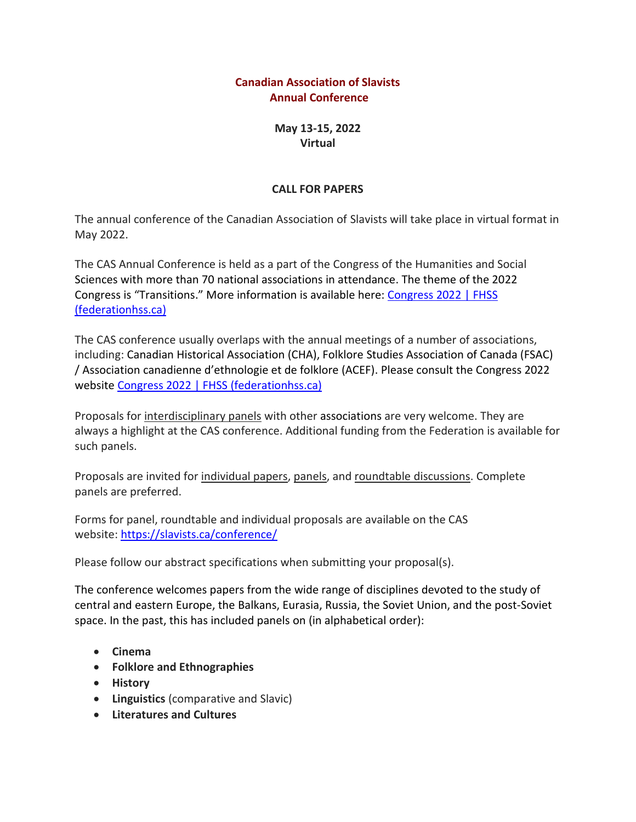## **Canadian Association of Slavists Annual Conference**

**May 13-15, 2022 Virtual** 

### **CALL FOR PAPERS**

The annual conference of the Canadian Association of Slavists will take place in virtual format in May 2022.

The CAS Annual Conference is held as a part of the Congress of the Humanities and Social Sciences with more than 70 national associations in attendance. The theme of the 2022 Congress is "Transitions." More information is available here: [Congress 2022 | FHSS](https://www.federationhss.ca/en/congress/congress-2022#theme)  [\(federationhss.ca\)](https://www.federationhss.ca/en/congress/congress-2022#theme)

The CAS conference usually overlaps with the annual meetings of a number of associations, including: Canadian Historical Association (CHA), Folklore Studies Association of Canada (FSAC) / Association canadienne d'ethnologie et de folklore (ACEF). Please consult the Congress 2022 website [Congress 2022 | FHSS \(federationhss.ca\)](https://www.federationhss.ca/en/congress/congress-2022#theme)

Proposals for interdisciplinary panels with other associations are very welcome. They are always a highlight at the CAS conference. Additional funding from the Federation is available for such panels.

Proposals are invited for individual papers, panels, and roundtable discussions. Complete panels are preferred.

Forms for panel, roundtable and individual proposals are available on the CAS website: <https://slavists.ca/conference/>

Please follow our abstract specifications when submitting your proposal(s).

The conference welcomes papers from the wide range of disciplines devoted to the study of central and eastern Europe, the Balkans, Eurasia, Russia, the Soviet Union, and the post-Soviet space. In the past, this has included panels on (in alphabetical order):

- **Cinema**
- **Folklore and Ethnographies**
- **History**
- **Linguistics** (comparative and Slavic)
- **Literatures and Cultures**